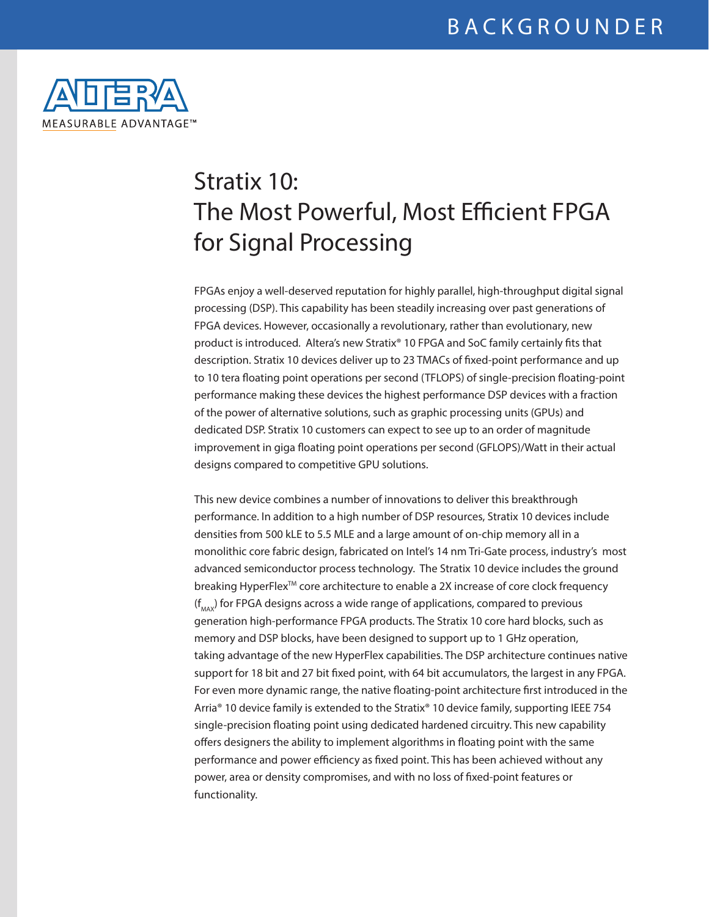

# Stratix 10: The Most Powerful, Most Efficient FPGA for Signal Processing

FPGAs enjoy a well-deserved reputation for highly parallel, high-throughput digital signal processing (DSP). This capability has been steadily increasing over past generations of FPGA devices. However, occasionally a revolutionary, rather than evolutionary, new product is introduced. Altera's new Stratix® 10 FPGA and SoC family certainly fits that description. Stratix 10 devices deliver up to 23 TMACs of fixed-point performance and up to 10 tera floating point operations per second (TFLOPS) of single-precision floating-point performance making these devices the highest performance DSP devices with a fraction of the power of alternative solutions, such as graphic processing units (GPUs) and dedicated DSP. Stratix 10 customers can expect to see up to an order of magnitude improvement in giga floating point operations per second (GFLOPS)/Watt in their actual designs compared to competitive GPU solutions.

This new device combines a number of innovations to deliver this breakthrough performance. In addition to a high number of DSP resources, Stratix 10 devices include densities from 500 kLE to 5.5 MLE and a large amount of on-chip memory all in a monolithic core fabric design, fabricated on Intel's 14 nm Tri-Gate process, industry's most advanced semiconductor process technology. The Stratix 10 device includes the ground breaking HyperFlex<sup>™</sup> core architecture to enable a 2X increase of core clock frequency  $(f_{\text{max}})$  for FPGA designs across a wide range of applications, compared to previous generation high-performance FPGA products. The Stratix 10 core hard blocks, such as memory and DSP blocks, have been designed to support up to 1 GHz operation, taking advantage of the new HyperFlex capabilities. The DSP architecture continues native support for 18 bit and 27 bit fixed point, with 64 bit accumulators, the largest in any FPGA. For even more dynamic range, the native floating-point architecture first introduced in the Arria® 10 device family is extended to the Stratix® 10 device family, supporting IEEE 754 single-precision floating point using dedicated hardened circuitry. This new capability offers designers the ability to implement algorithms in floating point with the same performance and power efficiency as fixed point. This has been achieved without any power, area or density compromises, and with no loss of fixed-point features or functionality.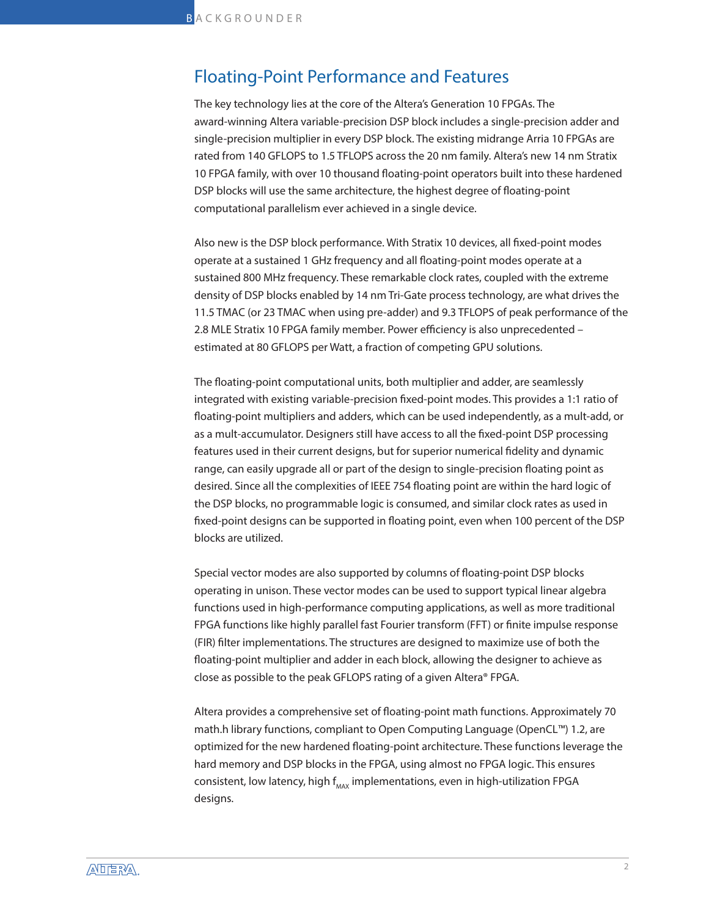#### Floating-Point Performance and Features

The key technology lies at the core of the Altera's Generation 10 FPGAs. The award-winning Altera variable-precision DSP block includes a single-precision adder and single-precision multiplier in every DSP block. The existing midrange Arria 10 FPGAs are rated from 140 GFLOPS to 1.5 TFLOPS across the 20 nm family. Altera's new 14 nm Stratix 10 FPGA family, with over 10 thousand floating-point operators built into these hardened DSP blocks will use the same architecture, the highest degree of floating-point computational parallelism ever achieved in a single device.

Also new is the DSP block performance. With Stratix 10 devices, all fixed-point modes operate at a sustained 1 GHz frequency and all floating-point modes operate at a sustained 800 MHz frequency. These remarkable clock rates, coupled with the extreme density of DSP blocks enabled by 14 nm Tri-Gate process technology, are what drives the 11.5 TMAC (or 23 TMAC when using pre-adder) and 9.3 TFLOPS of peak performance of the 2.8 MLE Stratix 10 FPGA family member. Power efficiency is also unprecedented – estimated at 80 GFLOPS per Watt, a fraction of competing GPU solutions.

The floating-point computational units, both multiplier and adder, are seamlessly integrated with existing variable-precision fixed-point modes. This provides a 1:1 ratio of floating-point multipliers and adders, which can be used independently, as a mult-add, or as a mult-accumulator. Designers still have access to all the fixed-point DSP processing features used in their current designs, but for superior numerical fidelity and dynamic range, can easily upgrade all or part of the design to single-precision floating point as desired. Since all the complexities of IEEE 754 floating point are within the hard logic of the DSP blocks, no programmable logic is consumed, and similar clock rates as used in fixed-point designs can be supported in floating point, even when 100 percent of the DSP blocks are utilized.

Special vector modes are also supported by columns of floating-point DSP blocks operating in unison. These vector modes can be used to support typical linear algebra functions used in high-performance computing applications, as well as more traditional FPGA functions like highly parallel fast Fourier transform (FFT) or finite impulse response (FIR) filter implementations. The structures are designed to maximize use of both the floating-point multiplier and adder in each block, allowing the designer to achieve as close as possible to the peak GFLOPS rating of a given Altera® FPGA.

Altera provides a comprehensive set of floating-point math functions. Approximately 70 math.h library functions, compliant to Open Computing Language (OpenCL™) 1.2, are optimized for the new hardened floating-point architecture. These functions leverage the hard memory and DSP blocks in the FPGA, using almost no FPGA logic. This ensures consistent, low latency, high  $f_{\text{max}}$  implementations, even in high-utilization FPGA designs.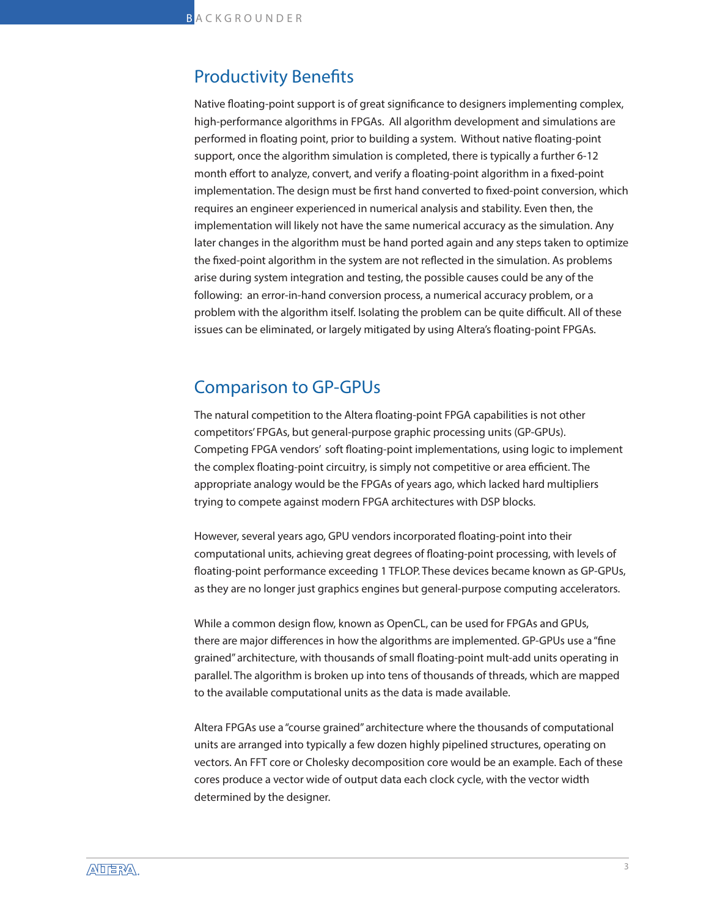#### Productivity Benefits

Native floating-point support is of great significance to designers implementing complex, high-performance algorithms in FPGAs. All algorithm development and simulations are performed in floating point, prior to building a system. Without native floating-point support, once the algorithm simulation is completed, there is typically a further 6-12 month effort to analyze, convert, and verify a floating-point algorithm in a fixed-point implementation. The design must be first hand converted to fixed-point conversion, which requires an engineer experienced in numerical analysis and stability. Even then, the implementation will likely not have the same numerical accuracy as the simulation. Any later changes in the algorithm must be hand ported again and any steps taken to optimize the fixed-point algorithm in the system are not reflected in the simulation. As problems arise during system integration and testing, the possible causes could be any of the following: an error-in-hand conversion process, a numerical accuracy problem, or a problem with the algorithm itself. Isolating the problem can be quite difficult. All of these issues can be eliminated, or largely mitigated by using Altera's floating-point FPGAs.

## Comparison to GP-GPUs

The natural competition to the Altera floating-point FPGA capabilities is not other competitors' FPGAs, but general-purpose graphic processing units (GP-GPUs). Competing FPGA vendors' soft floating-point implementations, using logic to implement the complex floating-point circuitry, is simply not competitive or area efficient. The appropriate analogy would be the FPGAs of years ago, which lacked hard multipliers trying to compete against modern FPGA architectures with DSP blocks.

However, several years ago, GPU vendors incorporated floating-point into their computational units, achieving great degrees of floating-point processing, with levels of floating-point performance exceeding 1 TFLOP. These devices became known as GP-GPUs, as they are no longer just graphics engines but general-purpose computing accelerators.

While a common design flow, known as OpenCL, can be used for FPGAs and GPUs, there are major differences in how the algorithms are implemented. GP-GPUs use a "fine grained" architecture, with thousands of small floating-point mult-add units operating in parallel. The algorithm is broken up into tens of thousands of threads, which are mapped to the available computational units as the data is made available.

Altera FPGAs use a "course grained" architecture where the thousands of computational units are arranged into typically a few dozen highly pipelined structures, operating on vectors. An FFT core or Cholesky decomposition core would be an example. Each of these cores produce a vector wide of output data each clock cycle, with the vector width determined by the designer.